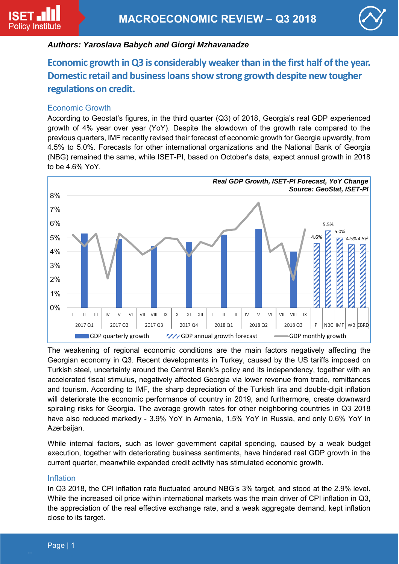

# *Authors: Yaroslava Babych and Giorgi Mzhavanadze*

**Economic growth in Q3 is considerably weaker than in the first half of the year. Domestic retail and business loans show strong growth despite new tougher regulations on credit.** 

#### Economic Growth

According to Geostat's figures, in the third quarter (Q3) of 2018, Georgia's real GDP experienced growth of 4% year over year (YoY). Despite the slowdown of the growth rate compared to the previous quarters, IMF recently revised their forecast of economic growth for Georgia upwardly, from 4.5% to 5.0%. Forecasts for other international organizations and the National Bank of Georgia (NBG) remained the same, while ISET-PI, based on October's data, expect annual growth in 2018 to be 4.6% YoY.



The weakening of regional economic conditions are the main factors negatively affecting the Georgian economy in Q3. Recent developments in Turkey, caused by the US tariffs imposed on Turkish steel, uncertainty around the Central Bank's policy and its independency, together with an accelerated fiscal stimulus, negatively affected Georgia via lower revenue from trade, remittances and tourism. According to IMF, the sharp depreciation of the Turkish lira and double-digit inflation will deteriorate the economic performance of country in 2019, and furthermore, create downward spiraling risks for Georgia. The average growth rates for other neighboring countries in Q3 2018 have also reduced markedly - 3.9% YoY in Armenia, 1.5% YoY in Russia, and only 0.6% YoY in Azerbaijan.

While internal factors, such as lower government capital spending, caused by a weak budget execution, together with deteriorating business sentiments, have hindered real GDP growth in the current quarter, meanwhile expanded credit activity has stimulated economic growth.

### Inflation

In Q3 2018, the CPI inflation rate fluctuated around NBG's 3% target, and stood at the 2.9% level. While the increased oil price within international markets was the main driver of CPI inflation in Q3, the appreciation of the real effective exchange rate, and a weak aggregate demand, kept inflation close to its target.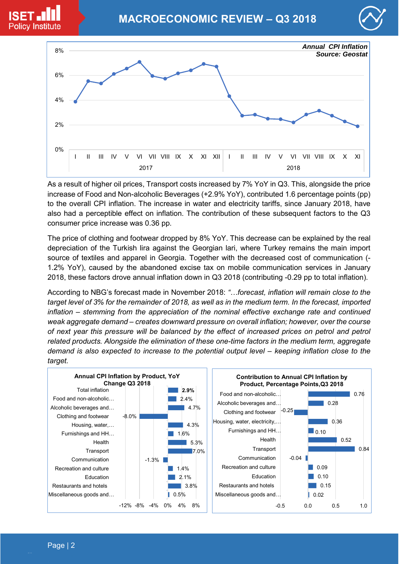





As a result of higher oil prices, Transport costs increased by 7% YoY in Q3. This, alongside the price increase of Food and Non-alcoholic Beverages (+2.9% YoY), contributed 1.6 percentage points (pp) to the overall CPI inflation. The increase in water and electricity tariffs, since January 2018, have also had a perceptible effect on inflation. The contribution of these subsequent factors to the Q3 consumer price increase was 0.36 pp.

The price of clothing and footwear dropped by 8% YoY. This decrease can be explained by the real depreciation of the Turkish lira against the Georgian lari, where Turkey remains the main import source of textiles and apparel in Georgia. Together with the decreased cost of communication (- 1.2% YoY), caused by the abandoned excise tax on mobile communication services in January 2018, these factors drove annual inflation down in Q3 2018 (contributing -0.29 pp to total inflation).

According to NBG's forecast made in November 2018: *"…forecast, inflation will remain close to the target level of 3% for the remainder of 2018, as well as in the medium term. In the forecast, imported inflation – stemming from the appreciation of the nominal effective exchange rate and continued weak aggregate demand – creates downward pressure on overall inflation; however, over the course*  of next year this pressure will be balanced by the effect of increased prices on petrol and petrol *related products. Alongside the elimination of these one-time factors in the medium term, aggregate demand is also expected to increase to the potential output level – keeping inflation close to the target.*

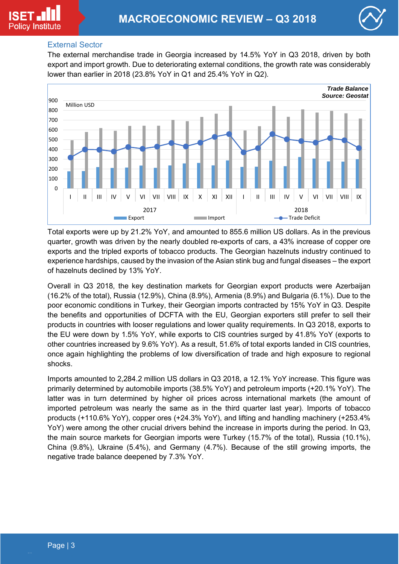

## External Sector

The external merchandise trade in Georgia increased by 14.5% YoY in Q3 2018, driven by both export and import growth. Due to deteriorating external conditions, the growth rate was considerably lower than earlier in 2018 (23.8% YoY in Q1 and 25.4% YoY in Q2).



Total exports were up by 21.2% YoY, and amounted to 855.6 million US dollars. As in the previous quarter, growth was driven by the nearly doubled re-exports of cars, a 43% increase of copper ore exports and the tripled exports of tobacco products. The Georgian hazelnuts industry continued to experience hardships, caused by the invasion of the Asian stink bug and fungal diseases – the export of hazelnuts declined by 13% YoY.

Overall in Q3 2018, the key destination markets for Georgian export products were Azerbaijan (16.2% of the total), Russia (12.9%), China (8.9%), Armenia (8.9%) and Bulgaria (6.1%). Due to the poor economic conditions in Turkey, their Georgian imports contracted by 15% YoY in Q3. Despite the benefits and opportunities of DCFTA with the EU, Georgian exporters still prefer to sell their products in countries with looser regulations and lower quality requirements. In Q3 2018, exports to the EU were down by 1.5% YoY, while exports to CIS countries surged by 41.8% YoY (exports to other countries increased by 9.6% YoY). As a result, 51.6% of total exports landed in CIS countries, once again highlighting the problems of low diversification of trade and high exposure to regional shocks.

Imports amounted to 2,284.2 million US dollars in Q3 2018, a 12.1% YoY increase. This figure was primarily determined by automobile imports (38.5% YoY) and petroleum imports (+20.1% YoY). The latter was in turn determined by higher oil prices across international markets (the amount of imported petroleum was nearly the same as in the third quarter last year). Imports of tobacco products (+110.6% YoY), copper ores (+24.3% YoY), and lifting and handling machinery (+253.4% YoY) were among the other crucial drivers behind the increase in imports during the period. In Q3, the main source markets for Georgian imports were Turkey (15.7% of the total), Russia (10.1%), China (9.8%), Ukraine (5.4%), and Germany (4.7%). Because of the still growing imports, the negative trade balance deepened by 7.3% YoY.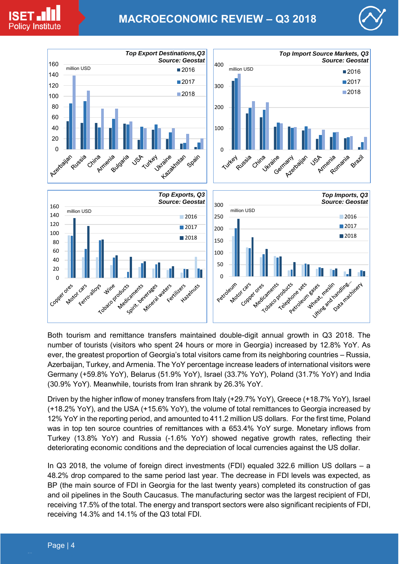

# **MACROECONOMIC REVIEW – Q3 2018**





Both tourism and remittance transfers maintained double-digit annual growth in Q3 2018. The number of tourists (visitors who spent 24 hours or more in Georgia) increased by 12.8% YoY. As ever, the greatest proportion of Georgia's total visitors came from its neighboring countries – Russia, Azerbaijan, Turkey, and Armenia. The YoY percentage increase leaders of international visitors were Germany (+59.8% YoY), Belarus (51.9% YoY), Israel (33.7% YoY), Poland (31.7% YoY) and India (30.9% YoY). Meanwhile, tourists from Iran shrank by 26.3% YoY.

Driven by the higher inflow of money transfers from Italy (+29.7% YoY), Greece (+18.7% YoY), Israel (+18.2% YoY), and the USA (+15.6% YoY), the volume of total remittances to Georgia increased by 12% YoY in the reporting period, and amounted to 411.2 million US dollars. For the first time, Poland was in top ten source countries of remittances with a 653.4% YoY surge. Monetary inflows from Turkey (13.8% YoY) and Russia (-1.6% YoY) showed negative growth rates, reflecting their deteriorating economic conditions and the depreciation of local currencies against the US dollar.

In Q3 2018, the volume of foreign direct investments (FDI) equaled 322.6 million US dollars – a 48.2% drop compared to the same period last year. The decrease in FDI levels was expected, as BP (the main source of FDI in Georgia for the last twenty years) completed its construction of gas and oil pipelines in the South Caucasus. The manufacturing sector was the largest recipient of FDI, receiving 17.5% of the total. The energy and transport sectors were also significant recipients of FDI, receiving 14.3% and 14.1% of the Q3 total FDI.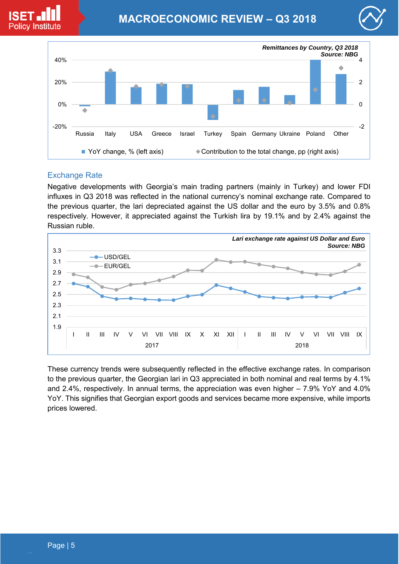





# Exchange Rate

Negative developments with Georgia's main trading partners (mainly in Turkey) and lower FDI influxes in Q3 2018 was reflected in the national currency's nominal exchange rate. Compared to the previous quarter, the lari depreciated against the US dollar and the euro by 3.5% and 0.8% respectively. However, it appreciated against the Turkish lira by 19.1% and by 2.4% against the Russian ruble.



These currency trends were subsequently reflected in the effective exchange rates. In comparison to the previous quarter, the Georgian lari in Q3 appreciated in both nominal and real terms by 4.1% and 2.4%, respectively. In annual terms, the appreciation was even higher – 7.9% YoY and 4.0% YoY. This signifies that Georgian export goods and services became more expensive, while imports prices lowered.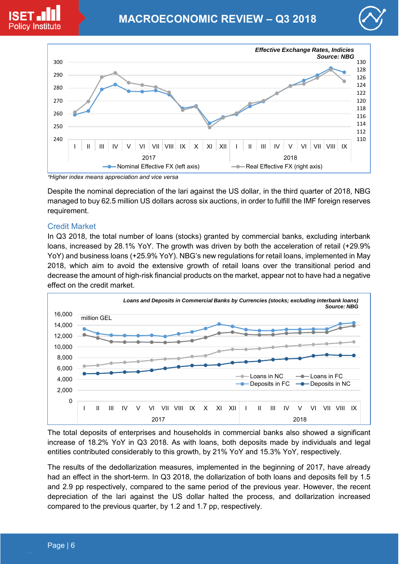



Despite the nominal depreciation of the lari against the US dollar, in the third quarter of 2018, NBG managed to buy 62.5 million US dollars across six auctions, in order to fulfill the IMF foreign reserves requirement.

## Credit Market

**Policy Institute** 

In Q3 2018, the total number of loans (stocks) granted by commercial banks, excluding interbank loans, increased by 28.1% YoY. The growth was driven by both the acceleration of retail (+29.9% YoY) and business loans (+25.9% YoY). NBG's new regulations for retail loans, implemented in May 2018, which aim to avoid the extensive growth of retail loans over the transitional period and decrease the amount of high-risk financial products on the market, appear not to have had a negative effect on the credit market.



The total deposits of enterprises and households in commercial banks also showed a significant increase of 18.2% YoY in Q3 2018. As with loans, both deposits made by individuals and legal entities contributed considerably to this growth, by 21% YoY and 15.3% YoY, respectively.

The results of the dedollarization measures, implemented in the beginning of 2017, have already had an effect in the short-term. In Q3 2018, the dollarization of both loans and deposits fell by 1.5 and 2.9 pp respectively, compared to the same period of the previous year. However, the recent depreciation of the lari against the US dollar halted the process, and dollarization increased compared to the previous quarter, by 1.2 and 1.7 pp, respectively.